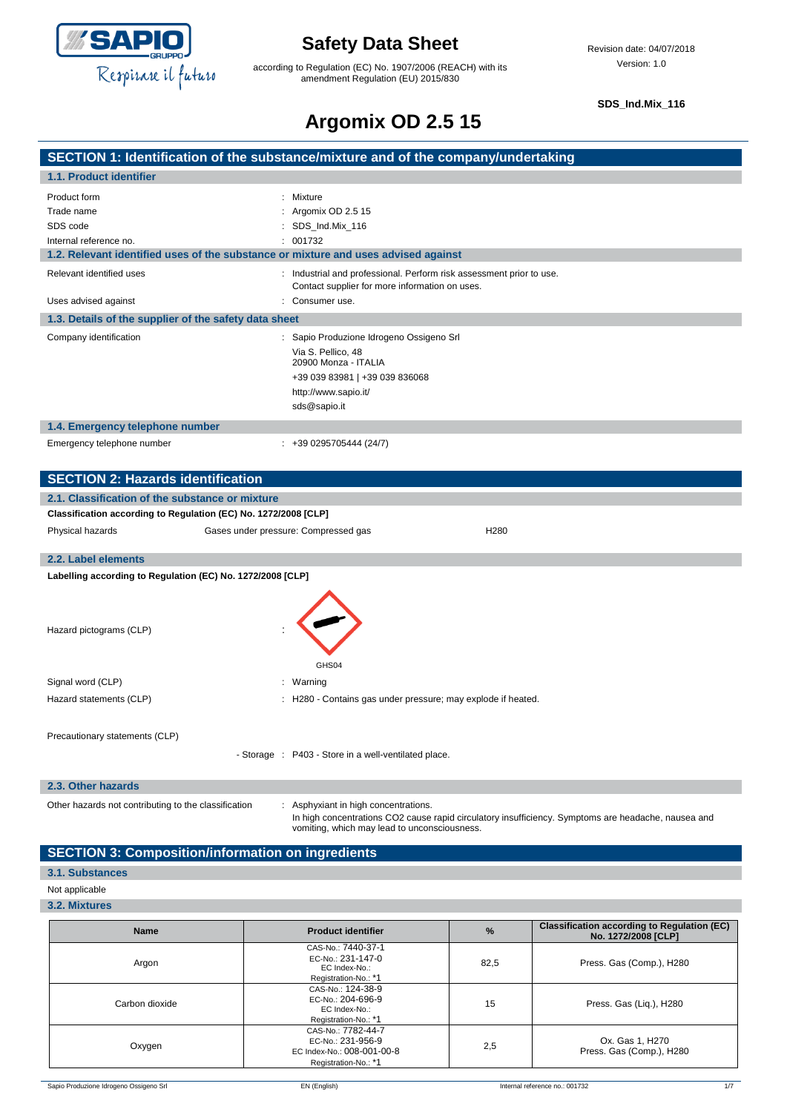

according to Regulation (EC) No. 1907/2006 (REACH) with its amendment Regulation (EU) 2015/830

**SDS\_Ind.Mix\_116**

## **Argomix OD 2.5 15**

|                                                                                             | --                                                                                                                                                                                          |
|---------------------------------------------------------------------------------------------|---------------------------------------------------------------------------------------------------------------------------------------------------------------------------------------------|
|                                                                                             | SECTION 1: Identification of the substance/mixture and of the company/undertaking                                                                                                           |
| 1.1. Product identifier                                                                     |                                                                                                                                                                                             |
| Product form<br>Trade name<br>SDS code<br>Internal reference no.                            | Mixture<br>: Argomix OD 2.5 15<br>SDS_Ind.Mix_116<br>: 001732                                                                                                                               |
| 1.2. Relevant identified uses of the substance or mixture and uses advised against          |                                                                                                                                                                                             |
| Relevant identified uses<br>Uses advised against                                            | : Industrial and professional. Perform risk assessment prior to use.<br>Contact supplier for more information on uses.<br>: Consumer use.                                                   |
| 1.3. Details of the supplier of the safety data sheet                                       |                                                                                                                                                                                             |
| Company identification                                                                      | : Sapio Produzione Idrogeno Ossigeno Srl<br>Via S. Pellico, 48<br>20900 Monza - ITALIA<br>+39 039 83981   +39 039 836068<br>http://www.sapio.it/<br>sds@sapio.it                            |
| 1.4. Emergency telephone number                                                             |                                                                                                                                                                                             |
| Emergency telephone number                                                                  | $: +390295705444(24/7)$                                                                                                                                                                     |
| <b>SECTION 2: Hazards identification</b><br>2.1. Classification of the substance or mixture |                                                                                                                                                                                             |
| Classification according to Regulation (EC) No. 1272/2008 [CLP]                             |                                                                                                                                                                                             |
| Physical hazards                                                                            | Gases under pressure: Compressed gas<br>H <sub>280</sub>                                                                                                                                    |
| 2.2. Label elements                                                                         |                                                                                                                                                                                             |
| Labelling according to Regulation (EC) No. 1272/2008 [CLP]                                  |                                                                                                                                                                                             |
| Hazard pictograms (CLP)                                                                     |                                                                                                                                                                                             |
| Signal word (CLP)                                                                           | GHS04<br>: Warning                                                                                                                                                                          |
| Hazard statements (CLP)                                                                     | : H280 - Contains gas under pressure; may explode if heated.                                                                                                                                |
|                                                                                             |                                                                                                                                                                                             |
| Precautionary statements (CLP)                                                              | - Storage : P403 - Store in a well-ventilated place.                                                                                                                                        |
| 2.3. Other hazards                                                                          |                                                                                                                                                                                             |
| Other hazards not contributing to the classification                                        | : Asphyxiant in high concentrations.<br>In high concentrations CO2 cause rapid circulatory insufficiency. Symptoms are headache, nausea and<br>vomiting, which may lead to unconsciousness. |

### **SECTION 3: Composition/information on ingredients**

### **3.1. Substances**

#### Not applicable

**3.2. Mixtures**

| <b>Name</b>    | <b>Product identifier</b>                                                                     | $\%$ | <b>Classification according to Regulation (EC)</b><br>No. 1272/2008 [CLP] |
|----------------|-----------------------------------------------------------------------------------------------|------|---------------------------------------------------------------------------|
| Argon          | CAS-No.: 7440-37-1<br>EC-No.: 231-147-0<br>EC Index-No.:<br>Registration-No.: *1              | 82,5 | Press. Gas (Comp.), H280                                                  |
| Carbon dioxide | CAS-No.: 124-38-9<br>EC-No.: 204-696-9<br>EC Index-No.:<br>Registration-No.: *1               | 15   | Press. Gas (Liq.), H280                                                   |
| Oxygen         | CAS-No.: 7782-44-7<br>EC-No.: 231-956-9<br>EC Index-No.: 008-001-00-8<br>Registration-No.: *1 | 2,5  | Ox. Gas 1, H270<br>Press. Gas (Comp.), H280                               |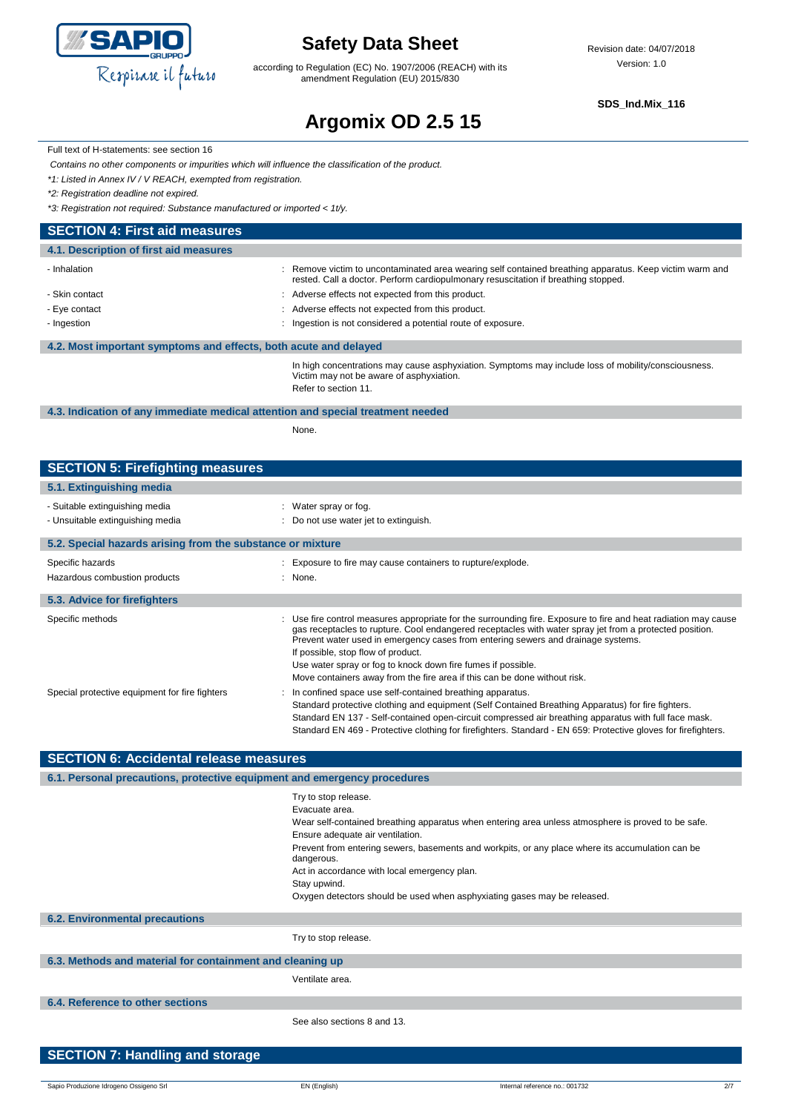

according to Regulation (EC) No. 1907/2006 (REACH) with its amendment Regulation (EU) 2015/830

**SDS\_Ind.Mix\_116**

# **Argomix OD 2.5 15**

Full text of H-statements: see section 16

*Contains no other components or impurities which will influence the classification of the product.*

*\*1: Listed in Annex IV / V REACH, exempted from registration.*

*\*2: Registration deadline not expired.*

*\*3: Registration not required: Substance manufactured or imported < 1t/y.*

### **SECTION 4: First aid measures**

| 4.1. Description of first aid measures                           |                                                                                                                                                                                               |
|------------------------------------------------------------------|-----------------------------------------------------------------------------------------------------------------------------------------------------------------------------------------------|
| - Inhalation                                                     | : Remove victim to uncontaminated area wearing self contained breathing apparatus. Keep victim warm and<br>rested. Call a doctor. Perform cardiopulmonary resuscitation if breathing stopped. |
| - Skin contact                                                   | : Adverse effects not expected from this product.                                                                                                                                             |
| - Eye contact                                                    | : Adverse effects not expected from this product.                                                                                                                                             |
| - Ingestion                                                      | Ingestion is not considered a potential route of exposure.                                                                                                                                    |
| 4.2. Most important symptoms and effects, both acute and delayed |                                                                                                                                                                                               |
|                                                                  | In high concentrations may cause asphyxiation. Symptoms may include loss of mobility/consciousness.<br>Victim may not be aware of asphyxiation.<br>Refer to section 11.                       |

### **4.3. Indication of any immediate medical attention and special treatment needed**

None.

### **SECTION 5: Firefighting measures**

| 5.1. Extinguishing media                                           |                                                                                                                                                                                                                                                                                                                                                                                                                                                                                                   |  |
|--------------------------------------------------------------------|---------------------------------------------------------------------------------------------------------------------------------------------------------------------------------------------------------------------------------------------------------------------------------------------------------------------------------------------------------------------------------------------------------------------------------------------------------------------------------------------------|--|
| - Suitable extinguishing media<br>- Unsuitable extinguishing media | : Water spray or fog.<br>: Do not use water jet to extinguish.                                                                                                                                                                                                                                                                                                                                                                                                                                    |  |
| 5.2. Special hazards arising from the substance or mixture         |                                                                                                                                                                                                                                                                                                                                                                                                                                                                                                   |  |
| Specific hazards<br>Hazardous combustion products                  | : Exposure to fire may cause containers to rupture/explode.<br>: None.                                                                                                                                                                                                                                                                                                                                                                                                                            |  |
| 5.3. Advice for firefighters                                       |                                                                                                                                                                                                                                                                                                                                                                                                                                                                                                   |  |
| Specific methods                                                   | : Use fire control measures appropriate for the surrounding fire. Exposure to fire and heat radiation may cause<br>gas receptacles to rupture. Cool endangered receptacles with water spray jet from a protected position.<br>Prevent water used in emergency cases from entering sewers and drainage systems.<br>If possible, stop flow of product.<br>Use water spray or fog to knock down fire fumes if possible.<br>Move containers away from the fire area if this can be done without risk. |  |
| Special protective equipment for fire fighters                     | In confined space use self-contained breathing apparatus.<br>Standard protective clothing and equipment (Self Contained Breathing Apparatus) for fire fighters.<br>Standard EN 137 - Self-contained open-circuit compressed air breathing apparatus with full face mask.<br>Standard EN 469 - Protective clothing for firefighters. Standard - EN 659: Protective gloves for firefighters.                                                                                                        |  |

| <b>SECTION 6: Accidental release measures</b>                            |                                                                                                                |  |
|--------------------------------------------------------------------------|----------------------------------------------------------------------------------------------------------------|--|
| 6.1. Personal precautions, protective equipment and emergency procedures |                                                                                                                |  |
|                                                                          | Try to stop release.                                                                                           |  |
|                                                                          | Evacuate area.                                                                                                 |  |
|                                                                          | Wear self-contained breathing apparatus when entering area unless atmosphere is proved to be safe.             |  |
|                                                                          | Ensure adequate air ventilation.                                                                               |  |
|                                                                          | Prevent from entering sewers, basements and workpits, or any place where its accumulation can be<br>dangerous. |  |
|                                                                          | Act in accordance with local emergency plan.                                                                   |  |
|                                                                          | Stay upwind.                                                                                                   |  |
|                                                                          | Oxygen detectors should be used when asphyxiating gases may be released.                                       |  |
| <b>6.2. Environmental precautions</b>                                    |                                                                                                                |  |
|                                                                          | Try to stop release.                                                                                           |  |
| 6.3. Methods and material for containment and cleaning up                |                                                                                                                |  |
|                                                                          | Ventilate area.                                                                                                |  |
| 6.4. Reference to other sections                                         |                                                                                                                |  |
|                                                                          | See also sections 8 and 13.                                                                                    |  |
| <b>SECTION 7: Handling and storage</b>                                   |                                                                                                                |  |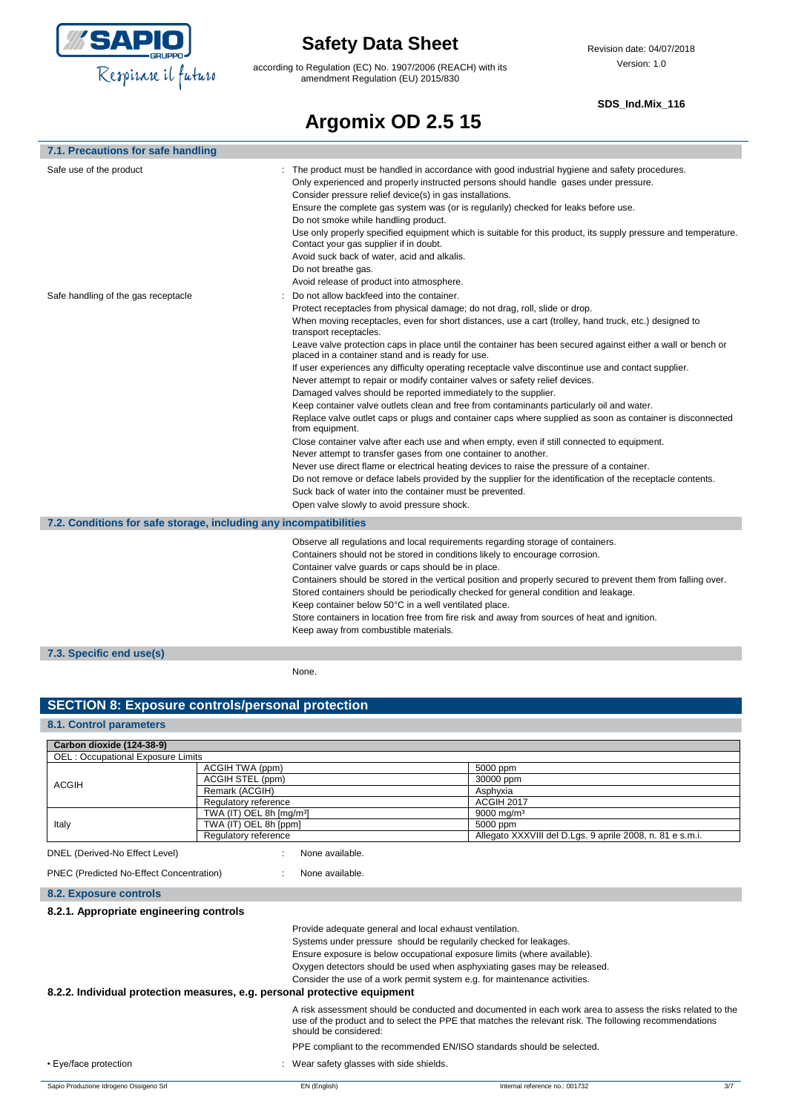

according to Regulation (EC) No. 1907/2006 (REACH) with its amendment Regulation (EU) 2015/830

#### **SDS\_Ind.Mix\_116**

# **Argomix OD 2.5 15**

| 7.1. Precautions for safe handling                                |                                                                                                                                                                                                                                                                                                                                                                                                                                                                                                                                                                                                                                                                                                                                                                                                                                                                                                                                                                                                                                                                                                                                                                                                                                                                                                                                                                                                             |
|-------------------------------------------------------------------|-------------------------------------------------------------------------------------------------------------------------------------------------------------------------------------------------------------------------------------------------------------------------------------------------------------------------------------------------------------------------------------------------------------------------------------------------------------------------------------------------------------------------------------------------------------------------------------------------------------------------------------------------------------------------------------------------------------------------------------------------------------------------------------------------------------------------------------------------------------------------------------------------------------------------------------------------------------------------------------------------------------------------------------------------------------------------------------------------------------------------------------------------------------------------------------------------------------------------------------------------------------------------------------------------------------------------------------------------------------------------------------------------------------|
| Safe use of the product                                           | The product must be handled in accordance with good industrial hygiene and safety procedures.<br>Only experienced and properly instructed persons should handle gases under pressure.<br>Consider pressure relief device(s) in gas installations.<br>Ensure the complete gas system was (or is regularily) checked for leaks before use.<br>Do not smoke while handling product.<br>Use only properly specified equipment which is suitable for this product, its supply pressure and temperature.<br>Contact your gas supplier if in doubt.<br>Avoid suck back of water, acid and alkalis.<br>Do not breathe gas.<br>Avoid release of product into atmosphere.                                                                                                                                                                                                                                                                                                                                                                                                                                                                                                                                                                                                                                                                                                                                             |
| Safe handling of the gas receptacle                               | Do not allow backfeed into the container.<br>Protect receptacles from physical damage; do not drag, roll, slide or drop.<br>When moving receptacles, even for short distances, use a cart (trolley, hand truck, etc.) designed to<br>transport receptacles.<br>Leave valve protection caps in place until the container has been secured against either a wall or bench or<br>placed in a container stand and is ready for use.<br>If user experiences any difficulty operating receptacle valve discontinue use and contact supplier.<br>Never attempt to repair or modify container valves or safety relief devices.<br>Damaged valves should be reported immediately to the supplier.<br>Keep container valve outlets clean and free from contaminants particularly oil and water.<br>Replace valve outlet caps or plugs and container caps where supplied as soon as container is disconnected<br>from equipment.<br>Close container valve after each use and when empty, even if still connected to equipment.<br>Never attempt to transfer gases from one container to another.<br>Never use direct flame or electrical heating devices to raise the pressure of a container.<br>Do not remove or deface labels provided by the supplier for the identification of the receptacle contents.<br>Suck back of water into the container must be prevented.<br>Open valve slowly to avoid pressure shock. |
| 7.2. Conditions for safe storage, including any incompatibilities |                                                                                                                                                                                                                                                                                                                                                                                                                                                                                                                                                                                                                                                                                                                                                                                                                                                                                                                                                                                                                                                                                                                                                                                                                                                                                                                                                                                                             |
|                                                                   | Observe all regulations and local requirements regarding storage of containers.<br>Containers should not be stored in conditions likely to encourage corrosion.<br>Container valve guards or caps should be in place.<br>Containers should be stored in the vertical position and properly secured to prevent them from falling over.<br>Stored containers should be periodically checked for general condition and leakage.<br>Keep container below 50°C in a well ventilated place.<br>Store containers in location free from fire risk and away from sources of heat and ignition.<br>Keep away from combustible materials.                                                                                                                                                                                                                                                                                                                                                                                                                                                                                                                                                                                                                                                                                                                                                                              |
| 7.3. Specific end use(s)                                          |                                                                                                                                                                                                                                                                                                                                                                                                                                                                                                                                                                                                                                                                                                                                                                                                                                                                                                                                                                                                                                                                                                                                                                                                                                                                                                                                                                                                             |
|                                                                   | None.                                                                                                                                                                                                                                                                                                                                                                                                                                                                                                                                                                                                                                                                                                                                                                                                                                                                                                                                                                                                                                                                                                                                                                                                                                                                                                                                                                                                       |

### **SECTION 8: Exposure controls/personal protection**

### **8.1. Control parameters**

| Carbon dioxide (124-38-9)                |                                                                           |                                                                                                                                                                                                                                              |  |
|------------------------------------------|---------------------------------------------------------------------------|----------------------------------------------------------------------------------------------------------------------------------------------------------------------------------------------------------------------------------------------|--|
| <b>OEL: Occupational Exposure Limits</b> |                                                                           |                                                                                                                                                                                                                                              |  |
|                                          | ACGIH TWA (ppm)                                                           | 5000 ppm                                                                                                                                                                                                                                     |  |
| <b>ACGIH</b>                             | ACGIH STEL (ppm)                                                          | 30000 ppm                                                                                                                                                                                                                                    |  |
|                                          | Remark (ACGIH)                                                            | Asphyxia                                                                                                                                                                                                                                     |  |
|                                          | Regulatory reference                                                      | ACGIH 2017                                                                                                                                                                                                                                   |  |
|                                          | TWA (IT) OEL 8h [mg/m <sup>3</sup> ]                                      | 9000 mg/m <sup>3</sup>                                                                                                                                                                                                                       |  |
| Italy                                    | TWA (IT) OEL 8h [ppm]                                                     | 5000 ppm                                                                                                                                                                                                                                     |  |
|                                          | Regulatory reference                                                      | Allegato XXXVIII del D.Lgs. 9 aprile 2008, n. 81 e s.m.i.                                                                                                                                                                                    |  |
| DNEL (Derived-No Effect Level)           | None available.                                                           |                                                                                                                                                                                                                                              |  |
| PNEC (Predicted No-Effect Concentration) | None available.                                                           |                                                                                                                                                                                                                                              |  |
| <b>8.2. Exposure controls</b>            |                                                                           |                                                                                                                                                                                                                                              |  |
| 8.2.1. Appropriate engineering controls  |                                                                           |                                                                                                                                                                                                                                              |  |
|                                          |                                                                           | Provide adequate general and local exhaust ventilation.                                                                                                                                                                                      |  |
|                                          |                                                                           | Systems under pressure should be regularily checked for leakages.                                                                                                                                                                            |  |
|                                          |                                                                           | Ensure exposure is below occupational exposure limits (where available).                                                                                                                                                                     |  |
|                                          |                                                                           | Oxygen detectors should be used when asphyxiating gases may be released.                                                                                                                                                                     |  |
|                                          |                                                                           | Consider the use of a work permit system e.g. for maintenance activities.                                                                                                                                                                    |  |
|                                          |                                                                           |                                                                                                                                                                                                                                              |  |
|                                          | 8.2.2. Individual protection measures, e.g. personal protective equipment |                                                                                                                                                                                                                                              |  |
|                                          |                                                                           | A risk assessment should be conducted and documented in each work area to assess the risks related to the<br>use of the product and to select the PPE that matches the relevant risk. The following recommendations<br>should be considered: |  |
|                                          |                                                                           | PPE compliant to the recommended EN/ISO standards should be selected.                                                                                                                                                                        |  |
| • Eye/face protection                    |                                                                           | : Wear safety glasses with side shields.                                                                                                                                                                                                     |  |
| Sapio Produzione Idrogeno Ossigeno Srl   | EN (English)                                                              | 3/7<br>Internal reference no.: 001732                                                                                                                                                                                                        |  |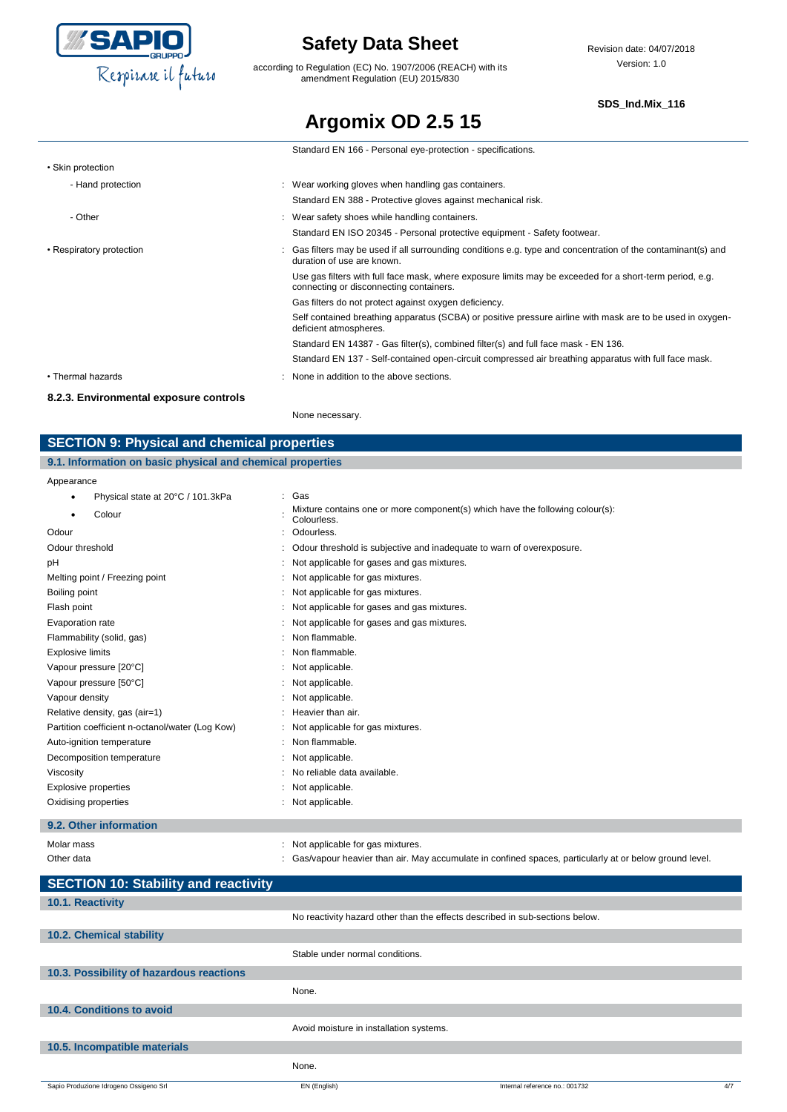

according to Regulation (EC) No. 1907/2006 (REACH) with its amendment Regulation (EU) 2015/830

#### **SDS\_Ind.Mix\_116**

## **Argomix OD 2.5 15**

|                          | Standard EN 166 - Personal eye-protection - specifications.                                                                                         |
|--------------------------|-----------------------------------------------------------------------------------------------------------------------------------------------------|
| • Skin protection        |                                                                                                                                                     |
| - Hand protection        | : Wear working gloves when handling gas containers.                                                                                                 |
|                          | Standard EN 388 - Protective gloves against mechanical risk.                                                                                        |
| - Other                  | : Wear safety shoes while handling containers.                                                                                                      |
|                          | Standard EN ISO 20345 - Personal protective equipment - Safety footwear.                                                                            |
| • Respiratory protection | Gas filters may be used if all surrounding conditions e.g. type and concentration of the contaminant(s) and<br>duration of use are known.           |
|                          | Use gas filters with full face mask, where exposure limits may be exceeded for a short-term period, e.g.<br>connecting or disconnecting containers. |
|                          | Gas filters do not protect against oxygen deficiency.                                                                                               |
|                          | Self contained breathing apparatus (SCBA) or positive pressure airline with mask are to be used in oxygen-<br>deficient atmospheres.                |
|                          | Standard EN 14387 - Gas filter(s), combined filter(s) and full face mask - EN 136.                                                                  |
|                          | Standard EN 137 - Self-contained open-circuit compressed air breathing apparatus with full face mask.                                               |
| • Thermal hazards        | : None in addition to the above sections.                                                                                                           |

#### **8.2.3. Environmental exposure controls**

None necessary.

### **SECTION 9: Physical and chemical properties**

### **9.1. Information on basic physical and chemical properties**

Appearance

| <b>Appearance</b>                               |                                                                                              |
|-------------------------------------------------|----------------------------------------------------------------------------------------------|
| Physical state at 20°C / 101.3kPa               | Gas                                                                                          |
| Colour<br>٠                                     | Mixture contains one or more component(s) which have the following colour(s):<br>Colourless. |
| Odour                                           | Odourless.                                                                                   |
| Odour threshold                                 | Odour threshold is subjective and inadequate to warn of overexposure.                        |
| рH                                              | Not applicable for gases and gas mixtures.                                                   |
| Melting point / Freezing point                  | Not applicable for gas mixtures.                                                             |
| Boiling point                                   | Not applicable for gas mixtures.                                                             |
| Flash point                                     | Not applicable for gases and gas mixtures.                                                   |
| Evaporation rate                                | Not applicable for gases and gas mixtures.                                                   |
| Flammability (solid, gas)                       | Non flammable.                                                                               |
| <b>Explosive limits</b>                         | Non flammable.                                                                               |
| Vapour pressure [20°C]                          | Not applicable.                                                                              |
| Vapour pressure [50°C]                          | Not applicable.                                                                              |
| Vapour density                                  | Not applicable.                                                                              |
| Relative density, gas (air=1)                   | : Heavier than air.                                                                          |
| Partition coefficient n-octanol/water (Log Kow) | Not applicable for gas mixtures.                                                             |
| Auto-ignition temperature                       | Non flammable.                                                                               |
| Decomposition temperature                       | : Not applicable.                                                                            |
| Viscosity                                       | No reliable data available.                                                                  |
| Explosive properties                            | Not applicable.                                                                              |
| Oxidising properties                            | : Not applicable.                                                                            |
|                                                 |                                                                                              |

### **9.2. Other information**

| Molar mass | Not applicable for gas mixtures.                                                                       |
|------------|--------------------------------------------------------------------------------------------------------|
| Other data | Gas/vapour heavier than air. May accumulate in confined spaces, particularly at or below ground level. |

| <b>SECTION 10: Stability and reactivity</b> |                                                                              |                                |     |
|---------------------------------------------|------------------------------------------------------------------------------|--------------------------------|-----|
| 10.1. Reactivity                            |                                                                              |                                |     |
|                                             | No reactivity hazard other than the effects described in sub-sections below. |                                |     |
| 10.2. Chemical stability                    |                                                                              |                                |     |
|                                             | Stable under normal conditions.                                              |                                |     |
| 10.3. Possibility of hazardous reactions    |                                                                              |                                |     |
|                                             | None.                                                                        |                                |     |
| 10.4. Conditions to avoid                   |                                                                              |                                |     |
|                                             | Avoid moisture in installation systems.                                      |                                |     |
| 10.5. Incompatible materials                |                                                                              |                                |     |
|                                             | None.                                                                        |                                |     |
| Sapio Produzione Idrogeno Ossigeno Srl      | EN (English)                                                                 | Internal reference no.: 001732 | 4/7 |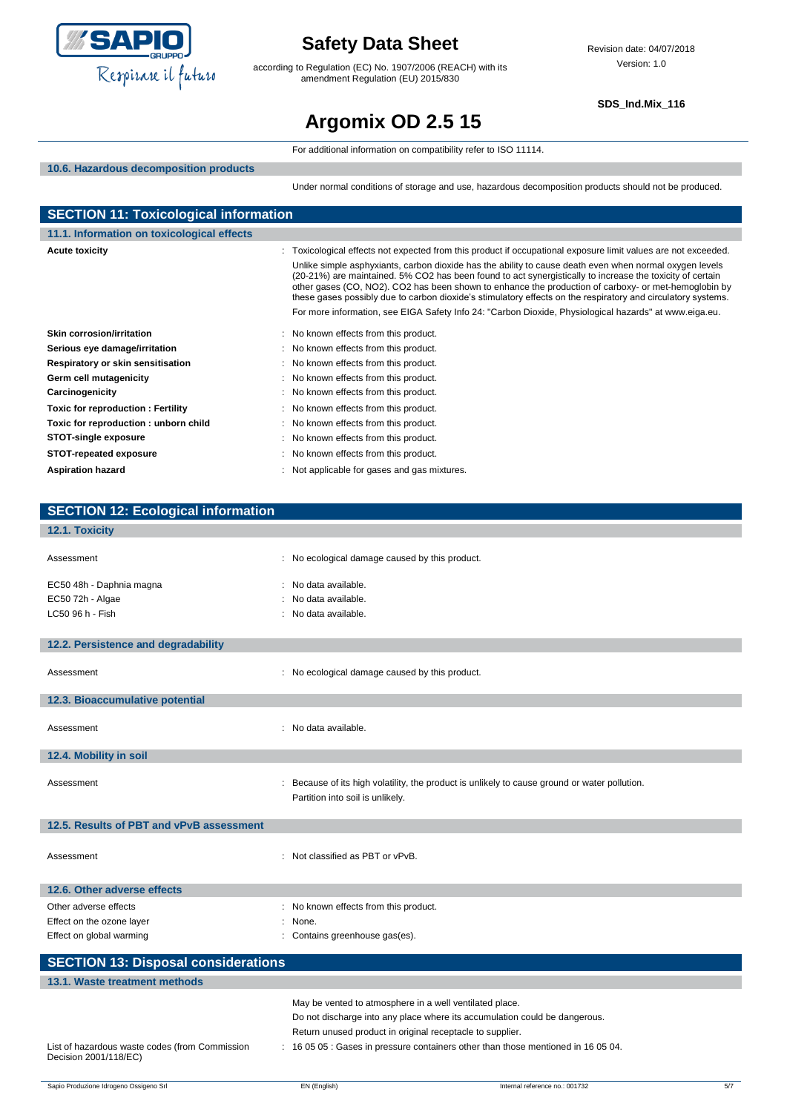

according to Regulation (EC) No. 1907/2006 (REACH) with its amendment Regulation (EU) 2015/830

**SDS\_Ind.Mix\_116**

# **Argomix OD 2.5 15**

|                                              | For additional information on compatibility refer to ISO 11114.                                                                                                                                                                                                                                                                   |
|----------------------------------------------|-----------------------------------------------------------------------------------------------------------------------------------------------------------------------------------------------------------------------------------------------------------------------------------------------------------------------------------|
| 10.6. Hazardous decomposition products       |                                                                                                                                                                                                                                                                                                                                   |
|                                              | Under normal conditions of storage and use, hazardous decomposition products should not be produced.                                                                                                                                                                                                                              |
| <b>SECTION 11: Toxicological information</b> |                                                                                                                                                                                                                                                                                                                                   |
| 11.1. Information on toxicological effects   |                                                                                                                                                                                                                                                                                                                                   |
| <b>Acute toxicity</b>                        |                                                                                                                                                                                                                                                                                                                                   |
|                                              | : Toxicological effects not expected from this product if occupational exposure limit values are not exceeded.<br>Unlike simple asphyxiants, carbon dioxide has the ability to cause death even when normal oxygen levels                                                                                                         |
|                                              | (20-21%) are maintained. 5% CO2 has been found to act synergistically to increase the toxicity of certain<br>other gases (CO, NO2). CO2 has been shown to enhance the production of carboxy- or met-hemoglobin by<br>these gases possibly due to carbon dioxide's stimulatory effects on the respiratory and circulatory systems. |
|                                              | For more information, see EIGA Safety Info 24: "Carbon Dioxide, Physiological hazards" at www.eiga.eu.                                                                                                                                                                                                                            |
| <b>Skin corrosion/irritation</b>             | : No known effects from this product.                                                                                                                                                                                                                                                                                             |
| Serious eye damage/irritation                | No known effects from this product.                                                                                                                                                                                                                                                                                               |
| Respiratory or skin sensitisation            | No known effects from this product.                                                                                                                                                                                                                                                                                               |
| Germ cell mutagenicity                       | No known effects from this product.                                                                                                                                                                                                                                                                                               |
| Carcinogenicity                              | No known effects from this product.                                                                                                                                                                                                                                                                                               |
| <b>Toxic for reproduction: Fertility</b>     | : No known effects from this product.                                                                                                                                                                                                                                                                                             |
| Toxic for reproduction: unborn child         | No known effects from this product.                                                                                                                                                                                                                                                                                               |
| <b>STOT-single exposure</b>                  | No known effects from this product.                                                                                                                                                                                                                                                                                               |
| <b>STOT-repeated exposure</b>                | No known effects from this product.                                                                                                                                                                                                                                                                                               |
| <b>Aspiration hazard</b>                     | Not applicable for gases and gas mixtures.                                                                                                                                                                                                                                                                                        |
|                                              |                                                                                                                                                                                                                                                                                                                                   |
|                                              |                                                                                                                                                                                                                                                                                                                                   |
| <b>SECTION 12: Ecological information</b>    |                                                                                                                                                                                                                                                                                                                                   |
| 12.1. Toxicity                               |                                                                                                                                                                                                                                                                                                                                   |
| Assessment                                   | : No ecological damage caused by this product.                                                                                                                                                                                                                                                                                    |
| EC50 48h - Daphnia magna                     | No data available.                                                                                                                                                                                                                                                                                                                |
| EC50 72h - Algae                             | No data available.                                                                                                                                                                                                                                                                                                                |
| LC50 96 h - Fish                             | No data available.                                                                                                                                                                                                                                                                                                                |
|                                              |                                                                                                                                                                                                                                                                                                                                   |
| 12.2. Persistence and degradability          |                                                                                                                                                                                                                                                                                                                                   |
|                                              |                                                                                                                                                                                                                                                                                                                                   |
| Assessment                                   | : No ecological damage caused by this product.                                                                                                                                                                                                                                                                                    |
|                                              |                                                                                                                                                                                                                                                                                                                                   |
| 12.3. Bioaccumulative potential              |                                                                                                                                                                                                                                                                                                                                   |
|                                              |                                                                                                                                                                                                                                                                                                                                   |
| Assessment                                   | No data available.                                                                                                                                                                                                                                                                                                                |
| 12.4. Mobility in soil                       |                                                                                                                                                                                                                                                                                                                                   |
|                                              |                                                                                                                                                                                                                                                                                                                                   |
| Assessment                                   | Because of its high volatility, the product is unlikely to cause ground or water pollution.                                                                                                                                                                                                                                       |
|                                              | Partition into soil is unlikely.                                                                                                                                                                                                                                                                                                  |
|                                              |                                                                                                                                                                                                                                                                                                                                   |
| 12.5. Results of PBT and vPvB assessment     |                                                                                                                                                                                                                                                                                                                                   |
|                                              |                                                                                                                                                                                                                                                                                                                                   |
| Assessment                                   | : Not classified as PBT or vPvB.                                                                                                                                                                                                                                                                                                  |
|                                              |                                                                                                                                                                                                                                                                                                                                   |
| 12.6. Other adverse effects                  |                                                                                                                                                                                                                                                                                                                                   |
| Other adverse effects                        | : No known effects from this product.                                                                                                                                                                                                                                                                                             |
| Effect on the ozone layer                    | : None.                                                                                                                                                                                                                                                                                                                           |

| <b>SECTION 13: Disposal considerations</b>                              |                                                                                   |  |
|-------------------------------------------------------------------------|-----------------------------------------------------------------------------------|--|
| 13.1. Waste treatment methods                                           |                                                                                   |  |
|                                                                         | May be vented to atmosphere in a well ventilated place.                           |  |
|                                                                         | Do not discharge into any place where its accumulation could be dangerous.        |  |
|                                                                         | Return unused product in original receptacle to supplier.                         |  |
| List of hazardous waste codes (from Commission<br>Decision 2001/118/EC) | : 16 05 05 : Gases in pressure containers other than those mentioned in 16 05 04. |  |

Effect on global warming **Effect** on global warming **in the state of the contains greenhouse gas(es).**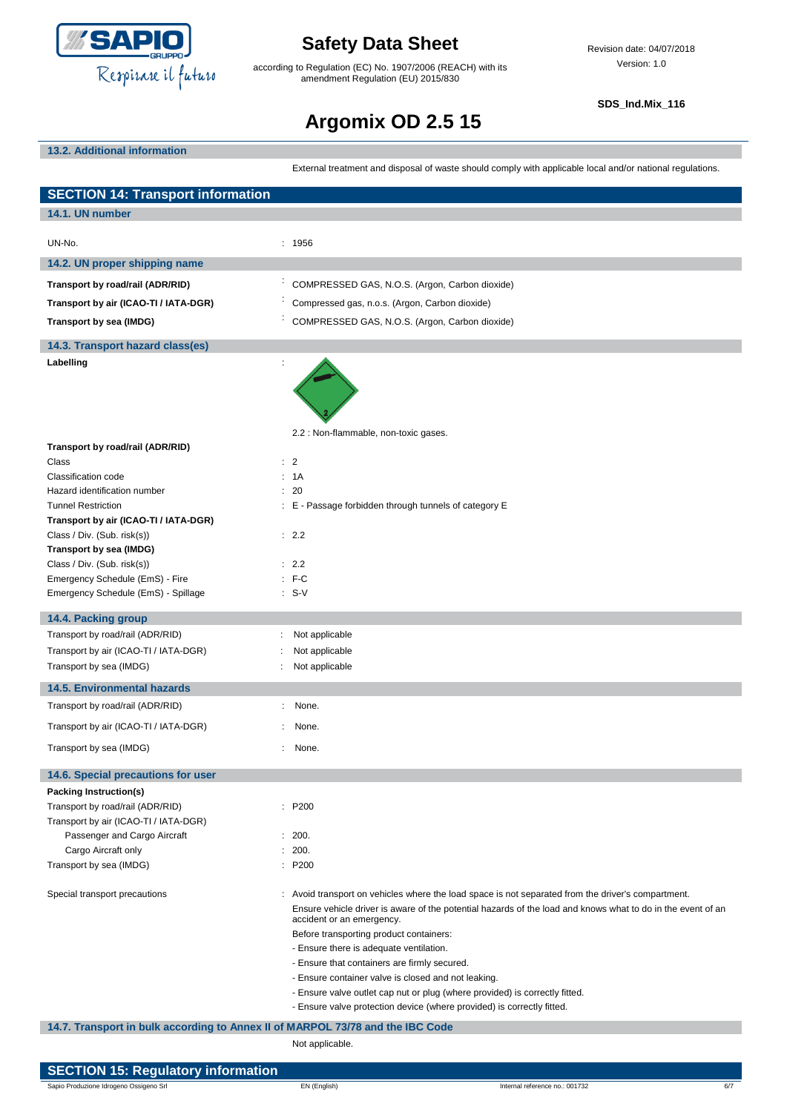

according to Regulation (EC) No. 1907/2006 (REACH) with its amendment Regulation (EU) 2015/830

**SDS\_Ind.Mix\_116**

# **Argomix OD 2.5 15**

### **13.2. Additional information**

External treatment and disposal of waste should comply with applicable local and/or national regulations.

| <b>SECTION 14: Transport information</b>                                       |                                                                                                                                                                                                                                                                                                                                                                                                                                                                                                                                                                                                      |
|--------------------------------------------------------------------------------|------------------------------------------------------------------------------------------------------------------------------------------------------------------------------------------------------------------------------------------------------------------------------------------------------------------------------------------------------------------------------------------------------------------------------------------------------------------------------------------------------------------------------------------------------------------------------------------------------|
| 14.1. UN number                                                                |                                                                                                                                                                                                                                                                                                                                                                                                                                                                                                                                                                                                      |
| UN-No.                                                                         | : 1956                                                                                                                                                                                                                                                                                                                                                                                                                                                                                                                                                                                               |
| 14.2. UN proper shipping name                                                  |                                                                                                                                                                                                                                                                                                                                                                                                                                                                                                                                                                                                      |
| Transport by road/rail (ADR/RID)                                               | COMPRESSED GAS, N.O.S. (Argon, Carbon dioxide)                                                                                                                                                                                                                                                                                                                                                                                                                                                                                                                                                       |
| Transport by air (ICAO-TI / IATA-DGR)                                          | Compressed gas, n.o.s. (Argon, Carbon dioxide)                                                                                                                                                                                                                                                                                                                                                                                                                                                                                                                                                       |
| Transport by sea (IMDG)                                                        | COMPRESSED GAS, N.O.S. (Argon, Carbon dioxide)                                                                                                                                                                                                                                                                                                                                                                                                                                                                                                                                                       |
|                                                                                |                                                                                                                                                                                                                                                                                                                                                                                                                                                                                                                                                                                                      |
| 14.3. Transport hazard class(es)                                               |                                                                                                                                                                                                                                                                                                                                                                                                                                                                                                                                                                                                      |
| Labelling                                                                      |                                                                                                                                                                                                                                                                                                                                                                                                                                                                                                                                                                                                      |
| Transport by road/rail (ADR/RID)                                               | 2.2 : Non-flammable, non-toxic gases.                                                                                                                                                                                                                                                                                                                                                                                                                                                                                                                                                                |
| Class                                                                          | : 2                                                                                                                                                                                                                                                                                                                                                                                                                                                                                                                                                                                                  |
| Classification code                                                            | : 1A                                                                                                                                                                                                                                                                                                                                                                                                                                                                                                                                                                                                 |
| Hazard identification number                                                   | : 20                                                                                                                                                                                                                                                                                                                                                                                                                                                                                                                                                                                                 |
| <b>Tunnel Restriction</b>                                                      | : E - Passage forbidden through tunnels of category E                                                                                                                                                                                                                                                                                                                                                                                                                                                                                                                                                |
| Transport by air (ICAO-TI / IATA-DGR)<br>Class / Div. (Sub. risk(s))           | : 2.2                                                                                                                                                                                                                                                                                                                                                                                                                                                                                                                                                                                                |
| Transport by sea (IMDG)                                                        |                                                                                                                                                                                                                                                                                                                                                                                                                                                                                                                                                                                                      |
| Class / Div. (Sub. risk(s))                                                    | : 2.2                                                                                                                                                                                                                                                                                                                                                                                                                                                                                                                                                                                                |
| Emergency Schedule (EmS) - Fire                                                | $:$ F-C                                                                                                                                                                                                                                                                                                                                                                                                                                                                                                                                                                                              |
| Emergency Schedule (EmS) - Spillage                                            | $: S-V$                                                                                                                                                                                                                                                                                                                                                                                                                                                                                                                                                                                              |
| 14.4. Packing group                                                            |                                                                                                                                                                                                                                                                                                                                                                                                                                                                                                                                                                                                      |
| Transport by road/rail (ADR/RID)                                               | Not applicable                                                                                                                                                                                                                                                                                                                                                                                                                                                                                                                                                                                       |
| Transport by air (ICAO-TI / IATA-DGR)                                          | Not applicable                                                                                                                                                                                                                                                                                                                                                                                                                                                                                                                                                                                       |
| Transport by sea (IMDG)                                                        | Not applicable                                                                                                                                                                                                                                                                                                                                                                                                                                                                                                                                                                                       |
| <b>14.5. Environmental hazards</b>                                             |                                                                                                                                                                                                                                                                                                                                                                                                                                                                                                                                                                                                      |
| Transport by road/rail (ADR/RID)                                               | None.<br>÷.                                                                                                                                                                                                                                                                                                                                                                                                                                                                                                                                                                                          |
| Transport by air (ICAO-TI / IATA-DGR)                                          | None.                                                                                                                                                                                                                                                                                                                                                                                                                                                                                                                                                                                                |
| Transport by sea (IMDG)                                                        | None.                                                                                                                                                                                                                                                                                                                                                                                                                                                                                                                                                                                                |
| 14.6. Special precautions for user                                             |                                                                                                                                                                                                                                                                                                                                                                                                                                                                                                                                                                                                      |
| Packing Instruction(s)                                                         |                                                                                                                                                                                                                                                                                                                                                                                                                                                                                                                                                                                                      |
| Transport by road/rail (ADR/RID)                                               | : P200                                                                                                                                                                                                                                                                                                                                                                                                                                                                                                                                                                                               |
| Transport by air (ICAO-TI / IATA-DGR)<br>Passenger and Cargo Aircraft          | : 200.                                                                                                                                                                                                                                                                                                                                                                                                                                                                                                                                                                                               |
| Cargo Aircraft only                                                            | 200.<br>÷                                                                                                                                                                                                                                                                                                                                                                                                                                                                                                                                                                                            |
| Transport by sea (IMDG)                                                        | : P200                                                                                                                                                                                                                                                                                                                                                                                                                                                                                                                                                                                               |
| Special transport precautions                                                  | : Avoid transport on vehicles where the load space is not separated from the driver's compartment.<br>Ensure vehicle driver is aware of the potential hazards of the load and knows what to do in the event of an<br>accident or an emergency.<br>Before transporting product containers:<br>- Ensure there is adequate ventilation.<br>- Ensure that containers are firmly secured.<br>- Ensure container valve is closed and not leaking.<br>- Ensure valve outlet cap nut or plug (where provided) is correctly fitted.<br>- Ensure valve protection device (where provided) is correctly fitted. |
| 14.7. Transport in bulk according to Annex II of MARPOL 73/78 and the IBC Code | Not applicable.                                                                                                                                                                                                                                                                                                                                                                                                                                                                                                                                                                                      |